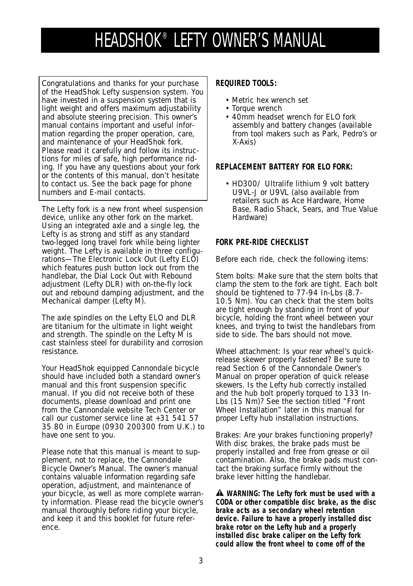# HEADSHOK® LEFTY OWNER'S MANUAL

Congratulations and thanks for your purchase of the HeadShok Lefty suspension system. You have invested in a suspension system that is light weight and offers maximum adjustability and absolute steering precision. This owner's manual contains important and useful information regarding the proper operation, care, and maintenance of your HeadShok fork. Please read it carefully and follow its instructions for miles of safe, high performance riding. If you have any questions about your fork or the contents of this manual, don't hesitate to contact us. See the back page for phone numbers and E-mail contacts.

The Lefty fork is a new front wheel suspension device, unlike any other fork on the market. Using an integrated axle and a single leg, the Lefty is as strong and stiff as any standard two-legged long travel fork while being lighter weight. The Lefty is available in three configurations—The Electronic Lock Out (Lefty ELO) which features push button lock out from the handlebar, the Dial Lock Out with Rebound adjustment (Lefty DLR) with on-the-fly lock out and rebound damping adjustment, and the Mechanical damper (Lefty M).

The axle spindles on the Lefty ELO and DLR are titanium for the ultimate in light weight and strength. The spindle on the Lefty M is cast stainless steel for durability and corrosion resistance.

Your HeadShok equipped Cannondale bicycle should have included both a standard owner's manual and this front suspension specific manual. If you did not receive both of these documents, please download and print one from the Cannondale website Tech Center or call our customer service line at +31 541 57 35 80 in Europe (0930 200300 from U.K.) to have one sent to you.

*Please note that this manual is meant to supplement, not to replace, the Cannondale Bicycle Owner's Manual. The owner's manual contains valuable information regarding safe operation, adjustment, and maintenance of your bicycle, as well as more complete warranty information. Please read the bicycle owner's manual thoroughly before riding your bicycle, and keep it and this booklet for future reference.*

# **REQUIRED TOOLS:**

- Metric hex wrench set
- Torque wrench
- 40mm headset wrench for ELO fork assembly and battery changes (available from tool makers such as Park, Pedro's or X-Axis)

# **REPLACEMENT BATTERY FOR ELO FORK:**

• HD300/ Ultralife lithium 9 volt battery U9VL-J or U9VL (also available from retailers such as Ace Hardware, Home Base, Radio Shack, Sears, and True Value Hardware)

## **FORK PRE-RIDE CHECKLIST**

Before each ride, check the following items:

Stem bolts: Make sure that the stem bolts that clamp the stem to the fork are tight. Each bolt should be tightened to 77-94 In-Lbs (8.7- 10.5 Nm). You can check that the stem bolts are tight enough by standing in front of your bicycle, holding the front wheel between your knees, and trying to twist the handlebars from side to side. The bars should not move.

Wheel attachment: Is your rear wheel's quickrelease skewer properly fastened? Be sure to read Section 6 of the Cannondale Owner's Manual on proper operation of quick release skewers. Is the Lefty hub correctly installed and the hub bolt properly torqued to 133 In-Lbs (15 Nm)? See the section titled "Front Wheel Installation" later in this manual for proper Lefty hub installation instructions.

Brakes: Are your brakes functioning properly? With disc brakes, the brake pads must be properly installed and free from grease or oil contamination. Also, the brake pads must contact the braking surface firmly without the brake lever hitting the handlebar.

**WARNING: The Lefty fork must be used with a CODA or other compatible disc brake, as the disc brake acts as a secondary wheel retention device. Failure to have a properly installed disc brake rotor on the Lefty hub and a properly installed disc brake caliper on the Lefty fork could allow the front wheel to come off of the**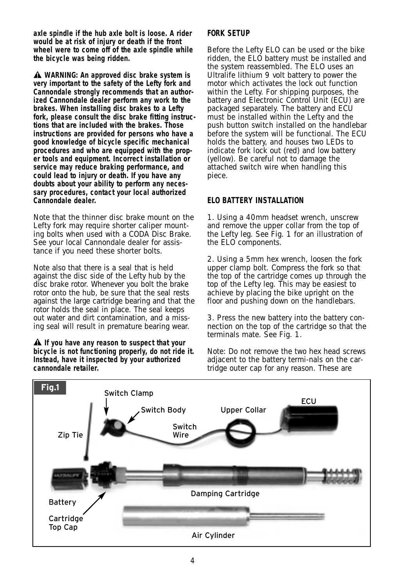**axle spindle if the hub axle bolt is loose. A rider would be at risk of injury or death if the front wheel were to come off of the axle spindle while the bicycle was being ridden.**

**WARNING: An approved disc brake system is very important to the safety of the Lefty fork and Cannondale strongly recommends that an authorized Cannondale dealer perform any work to the brakes. When installing disc brakes to a Lefty fork, please consult the disc brake fitting instructions that are included with the brakes. Those instructions are provided for persons who have a good knowledge of bicycle specific mechanical procedures and who are equipped with the proper tools and equipment. Incorrect installation or service may reduce braking performance, and could lead to injury or death. If you have any doubts about your ability to perform any necessary procedures, contact your local authorized Cannondale dealer.**

*Note that the thinner disc brake mount on the Lefty fork may require shorter caliper mounting bolts when used with a CODA Disc Brake. See your local Cannondale dealer for assistance if you need these shorter bolts.*

*Note also that there is a seal that is held against the disc side of the Lefty hub by the disc brake rotor. Whenever you bolt the brake rotor onto the hub, be sure that the seal rests against the large cartridge bearing and that the rotor holds the seal in place. The seal keeps out water and dirt contamination, and a missing seal will result in premature bearing wear.*

**If you have any reason to suspect that your bicycle is not functioning properly, do not ride it. Instead, have it inspected by your authorized cannondale retailer.**

# **FORK SETUP**

Before the Lefty ELO can be used or the bike ridden, the ELO battery must be installed and the system reassembled. The ELO uses an Ultralife lithium 9 volt battery to power the motor which activates the lock out function within the Lefty. For shipping purposes, the battery and Electronic Control Unit (ECU) are packaged separately. The battery and ECU must be installed within the Lefty and the push button switch installed on the handlebar before the system will be functional. The ECU holds the battery, and houses two LEDs to indicate fork lock out (red) and low battery (yellow). Be careful not to damage the attached switch wire when handling this piece.

## **ELO BATTERY INSTALLATION**

1. Using a 40mm headset wrench, unscrew and remove the upper collar from the top of the Lefty leg. See Fig. 1 for an illustration of the ELO components.

2. Using a 5mm hex wrench, loosen the fork upper clamp bolt. Compress the fork so that the top of the cartridge comes up through the top of the Lefty leg. This may be easiest to achieve by placing the bike upright on the floor and pushing down on the handlebars.

3. Press the new battery into the battery connection on the top of the cartridge so that the terminals mate. See Fig. 1.

*Note: Do not remove the two hex head screws adjacent to the battery termi-nals on the cartridge outer cap for any reason. These are*

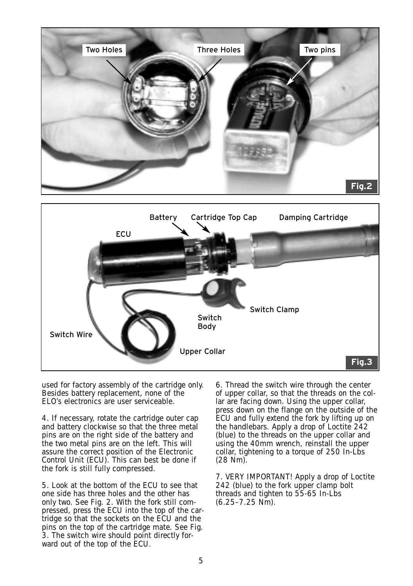



*used for factory assembly of the cartridge only. Besides battery replacement, none of the ELO's electronics are user serviceable.*

4. If necessary, rotate the cartridge outer cap and battery clockwise so that the three metal pins are on the right side of the battery and the two metal pins are on the left. This will assure the correct position of the Electronic Control Unit (ECU). This can best be done if the fork is still fully compressed.

5. Look at the bottom of the ECU to see that one side has three holes and the other has only two. See Fig. 2. With the fork still compressed, press the ECU into the top of the cartridge so that the sockets on the ECU and the pins on the top of the cartridge mate. See Fig. 3. The switch wire should point directly forward out of the top of the ECU.

6. Thread the switch wire through the center of upper collar, so that the threads on the collar are facing down. Using the upper collar, press down on the flange on the outside of the ECU and fully extend the fork by lifting up on the handlebars. Apply a drop of Loctite 242 (blue) to the threads on the upper collar and using the 40mm wrench, reinstall the upper collar, tightening to a torque of 250 In-Lbs (28 Nm).

7. VERY IMPORTANT! Apply a drop of Loctite 242 (blue) to the fork upper clamp bolt threads and tighten to 55-65 In-Lbs (6.25–7.25 Nm).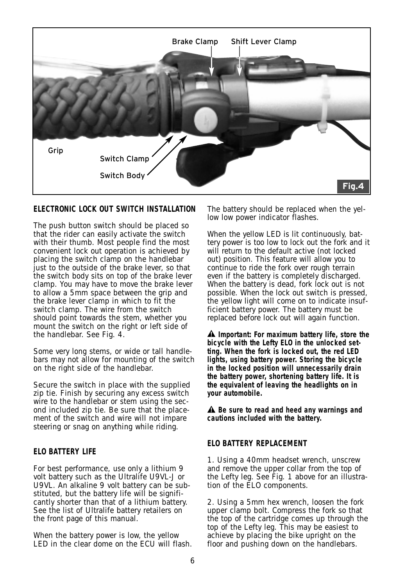

# **ELECTRONIC LOCK OUT SWITCH INSTALLATION**

The push button switch should be placed so that the rider can easily activate the switch with their thumb. Most people find the most convenient lock out operation is achieved by placing the switch clamp on the handlebar just to the outside of the brake lever, so that the switch body sits on top of the brake lever clamp. You may have to move the brake lever to allow a 5mm space between the grip and the brake lever clamp in which to fit the switch clamp. The wire from the switch should point towards the stem, whether you mount the switch on the right or left side of the handlebar. See Fig. 4.

Some very long stems, or wide or tall handlebars may not allow for mounting of the switch on the right side of the handlebar.

Secure the switch in place with the supplied zip tie. Finish by securing any excess switch wire to the handlebar or stem using the second included zip tie. Be sure that the placement of the switch and wire will not impare steering or snag on anything while riding.

#### **ELO BATTERY LIFE**

For best performance, use only a lithium 9 volt battery such as the Ultralife U9VL-J or U9VL. An alkaline 9 volt battery can be substituted, but the battery life will be significantly shorter than that of a lithium battery. See the list of Ultralife battery retailers on the front page of this manual.

When the battery power is low, the yellow LED in the clear dome on the ECU will flash. The battery should be replaced when the yellow low power indicator flashes.

When the yellow LED is lit continuously, battery power is too low to lock out the fork and it will return to the default active (not locked out) position. This feature will allow you to continue to ride the fork over rough terrain even if the battery is completely discharged. When the battery is dead, fork lock out is not possible. When the lock out switch is pressed, the yellow light will come on to indicate insufficient battery power. The battery must be replaced before lock out will again function.

**Important: For maximum battery life, store the bicycle with the Lefty ELO in the unlocked setting. When the fork is locked out, the red LED lights, using battery power. Storing the bicycle in the locked position will unnecessarily drain the battery power, shortening battery life. It is the equivalent of leaving the headlights on in your automobile.**

**Be sure to read and heed any warnings and cautions included with the battery.**

#### **ELO BATTERY REPLACEMENT**

1. Using a 40mm headset wrench, unscrew and remove the upper collar from the top of the Lefty leg. See Fig. 1 above for an illustration of the ELO components.

2. Using a 5mm hex wrench, loosen the fork upper clamp bolt. Compress the fork so that the top of the cartridge comes up through the top of the Lefty leg. This may be easiest to achieve by placing the bike upright on the floor and pushing down on the handlebars.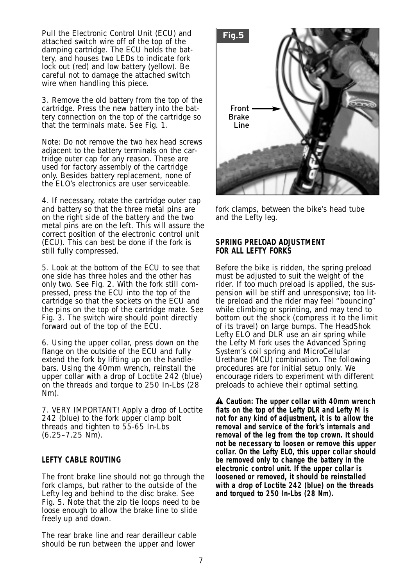Pull the Electronic Control Unit (ECU) and attached switch wire off of the top of the damping cartridge. The ECU holds the battery, and houses two LEDs to indicate fork lock out (red) and low battery (yellow). Be careful not to damage the attached switch wire when handling this piece.

3. Remove the old battery from the top of the cartridge. Press the new battery into the battery connection on the top of the cartridge so that the terminals mate. See Fig. 1.

*Note: Do not remove the two hex head screws adjacent to the battery terminals on the cartridge outer cap for any reason. These are used for factory assembly of the cartridge only. Besides battery replacement, none of the ELO's electronics are user serviceable.*

4. If necessary, rotate the cartridge outer cap and battery so that the three metal pins are on the right side of the battery and the two metal pins are on the left. This will assure the correct position of the electronic control unit (ECU). This can best be done if the fork is still fully compressed.

5. Look at the bottom of the ECU to see that one side has three holes and the other has only two. See Fig. 2. With the fork still compressed, press the ECU into the top of the cartridge so that the sockets on the ECU and the pins on the top of the cartridge mate. See Fig. 3. The switch wire should point directly forward out of the top of the ECU.

6. Using the upper collar, press down on the flange on the outside of the ECU and fully extend the fork by lifting up on the handlebars. Using the 40mm wrench, reinstall the upper collar with a drop of Loctite 242 (blue) on the threads and torque to 250 In-Lbs (28 Nm).

7. VERY IMPORTANT! Apply a drop of Loctite 242 (blue) to the fork upper clamp bolt threads and tighten to 55-65 In-Lbs (6.25–7.25 Nm).

#### **LEFTY CABLE ROUTING**

The front brake line should not go through the fork clamps, but rather to the outside of the Lefty leg and behind to the disc brake. See Fig. 5. Note that the zip tie loops need to be loose enough to allow the brake line to slide freely up and down.

The rear brake line and rear derailleur cable should be run between the upper and lower



fork clamps, between the bike's head tube and the Lefty leg.

#### **SPRING PRELOAD ADJUSTMENT FOR ALL LEFTY FORKS**

Before the bike is ridden, the spring preload must be adjusted to suit the weight of the rider. If too much preload is applied, the suspension will be stiff and unresponsive; too little preload and the rider may feel "bouncing" while climbing or sprinting, and may tend to bottom out the shock (compress it to the limit of its travel) on large bumps. The HeadShok Lefty ELO and DLR use an air spring while the Lefty M fork uses the Advanced Spring System's coil spring and MicroCellular Urethane (MCU) combination. The following procedures are for initial setup only. We encourage riders to experiment with different preloads to achieve their optimal setting.

**Caution: The upper collar with 40mm wrench flats on the top of the Lefty DLR and Lefty M is not for any kind of adjustment, it is to allow the removal and service of the fork's internals and removal of the leg from the top crown. It should not be necessary to loosen or remove this upper collar. On the Lefty ELO, this upper collar should be removed only to change the battery in the electronic control unit. If the upper collar is loosened or removed, it should be reinstalled with a drop of Loctite 242 (blue) on the threads and torqued to 250 In-Lbs (28 Nm).**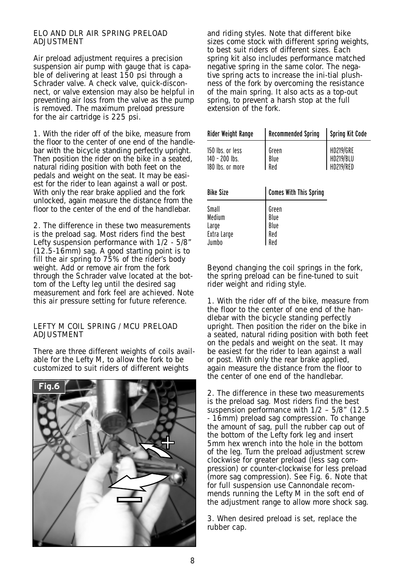#### ELO AND DLR AIR SPRING PRELOAD **ADJUSTMENT**

Air preload adjustment requires a precision suspension air pump with gauge that is capable of delivering at least 150 psi through a Schrader valve. A check valve, quick-disconnect, or valve extension may also be helpful in preventing air loss from the valve as the pump is removed. The maximum preload pressure for the air cartridge is 225 psi.

1. With the rider off of the bike, measure from the floor to the center of one end of the handlebar with the bicycle standing perfectly upright. Then position the rider on the bike in a seated, natural riding position with both feet on the pedals and weight on the seat. It may be easiest for the rider to lean against a wall or post. With only the rear brake applied and the fork unlocked, again measure the distance from the floor to the center of the end of the handlebar.

2. The difference in these two measurements is the preload sag. Most riders find the best Lefty suspension performance with 1/2 - 5/8" (12.5-16mm) sag. A good starting point is to fill the air spring to 75% of the rider's body weight. Add or remove air from the fork through the Schrader valve located at the bottom of the Lefty leg until the desired sag measurement and fork feel are achieved. Note this air pressure setting for future reference.

#### LEFTY M COIL SPRING / MCU PRELOAD **ADJUSTMENT**

There are three different weights of coils available for the Lefty M, to allow the fork to be customized to suit riders of different weights



and riding styles. Note that different bike sizes come stock with different spring weights, to best suit riders of different sizes. Each spring kit also includes performance matched negative spring in the same color. The negative spring acts to increase the ini-tial plushness of the fork by overcoming the resistance of the main spring. It also acts as a top-out spring, to prevent a harsh stop at the full extension of the fork.

| Rider Weight Range                                       | <b>Recommended Spring</b>           | <b>Spring Kit Code</b>                     |
|----------------------------------------------------------|-------------------------------------|--------------------------------------------|
| 150 lbs. or less<br>$140 - 200$ lbs.<br>180 lbs. or more | Green<br>Blue<br>Red                | <b>HD219/GRE</b><br>HD219/BLU<br>HD219/RED |
| <b>Bike Size</b>                                         | <b>Comes With This Spring</b>       |                                            |
| Small<br>Medium<br>Large<br>Extra Large<br>Jumbo         | Green<br>Blue<br>Blue<br>Red<br>Red |                                            |

Beyond changing the coil springs in the fork, the spring preload can be fine-tuned to suit rider weight and riding style.

1. With the rider off of the bike, measure from the floor to the center of one end of the handlebar with the bicycle standing perfectly upright. Then position the rider on the bike in a seated, natural riding position with both feet on the pedals and weight on the seat. It may be easiest for the rider to lean against a wall or post. With only the rear brake applied, again measure the distance from the floor to the center of one end of the handlebar.

2. The difference in these two measurements is the preload sag. Most riders find the best suspension performance with 1/2 – 5/8" (12.5 - 16mm) preload sag compression. To change the amount of sag, pull the rubber cap out of the bottom of the Lefty fork leg and insert 5mm hex wrench into the hole in the bottom of the leg. Turn the preload adjustment screw clockwise for greater preload (less sag compression) or counter-clockwise for less preload (more sag compression). See Fig. 6. Note that for full suspension use Cannondale recommends running the Lefty M in the soft end of the adjustment range to allow more shock sag.

3. When desired preload is set, replace the rubber cap.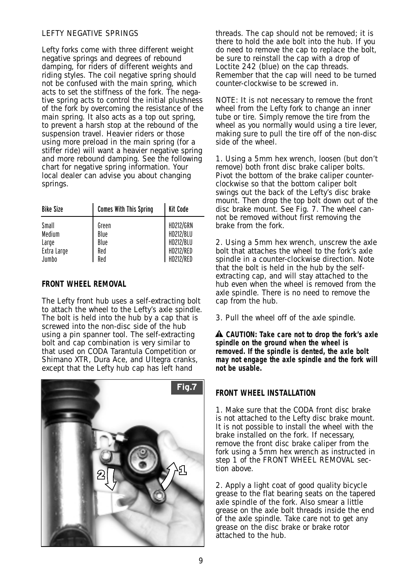## LEFTY NEGATIVE SPRINGS

Lefty forks come with three different weight negative springs and degrees of rebound damping, for riders of different weights and riding styles. The coil negative spring should not be confused with the main spring, which acts to set the stiffness of the fork. The negative spring acts to control the initial plushness of the fork by overcoming the resistance of the main spring. It also acts as a top out spring, to prevent a harsh stop at the rebound of the suspension travel. Heavier riders or those using more preload in the main spring (for a stiffer ride) will want a heavier negative spring and more rebound damping. See the following chart for negative spring information. Your local dealer can advise you about changing springs.

| <b>Bike Size</b> | <b>Comes With This Spring</b> | Kit Code         |
|------------------|-------------------------------|------------------|
| Small            | Green                         | HD212/GRN        |
| Medium           | Blue                          | <b>HD212/BLU</b> |
| Large            | Blue                          | HD212/BLU        |
| Extra Large      | Red                           | HD212/RED        |
| Jumbo            | Red                           | HD212/RED        |

#### **FRONT WHEEL REMOVAL**

The Lefty front hub uses a self-extracting bolt to attach the wheel to the Lefty's axle spindle. The bolt is held into the hub by a cap that is screwed into the non-disc side of the hub using a pin spanner tool. The self-extracting bolt and cap combination is very similar to that used on CODA Tarantula Competition or Shimano XTR, Dura Ace, and Ultegra cranks, except that the Lefty hub cap has left hand



threads. The cap should not be removed; it is there to hold the axle bolt into the hub. If you do need to remove the cap to replace the bolt, be sure to reinstall the cap with a drop of Loctite 242 (blue) on the cap threads. Remember that the cap will need to be turned counter-clockwise to be screwed in.

*NOTE: It is not necessary to remove the front wheel from the Lefty fork to change an inner tube or tire. Simply remove the tire from the wheel as you normally would using a tire lever, making sure to pull the tire off of the non-disc side of the wheel.*

1. Using a 5mm hex wrench, loosen (but don't remove) both front disc brake caliper bolts. Pivot the bottom of the brake caliper counterclockwise so that the bottom caliper bolt swings out the back of the Lefty's disc brake mount. Then drop the top bolt down out of the disc brake mount. See Fig. 7. The wheel cannot be removed without first removing the brake from the fork.

2. Using a 5mm hex wrench, unscrew the axle bolt that attaches the wheel to the fork's axle spindle in a counter-clockwise direction. Note that the bolt is held in the hub by the selfextracting cap, and will stay attached to the hub even when the wheel is removed from the axle spindle. There is no need to remove the cap from the hub.

3. Pull the wheel off of the axle spindle.

**CAUTION: Take care not to drop the fork's axle spindle on the ground when the wheel is removed. If the spindle is dented, the axle bolt may not engage the axle spindle and the fork will not be usable.**

#### **FRONT WHEEL INSTALLATION**

1. Make sure that the CODA front disc brake is not attached to the Lefty disc brake mount. It is not possible to install the wheel with the brake installed on the fork. If necessary, remove the front disc brake caliper from the fork using a 5mm hex wrench as instructed in step 1 of the FRONT WHEEL REMOVAL section above.

2. Apply a light coat of good quality bicycle grease to the flat bearing seats on the tapered axle spindle of the fork. Also smear a little grease on the axle bolt threads inside the end of the axle spindle. Take care not to get any grease on the disc brake or brake rotor attached to the hub.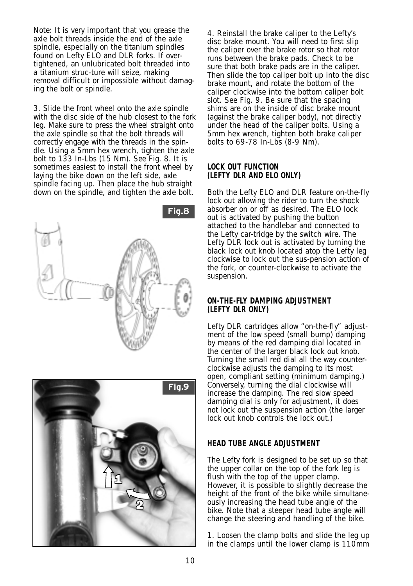*Note: It is very important that you grease the axle bolt threads inside the end of the axle spindle, especially on the titanium spindles found on Lefty ELO and DLR forks. If overtightened, an unlubricated bolt threaded into a titanium struc-ture will seize, making removal difficult or impossible without damaging the bolt or spindle.*

3. Slide the front wheel onto the axle spindle with the disc side of the hub closest to the fork leg. Make sure to press the wheel straight onto the axle spindle so that the bolt threads will correctly engage with the threads in the spindle. Using a 5mm hex wrench, tighten the axle bolt to 133 In-Lbs (15 Nm). See Fig. 8. It is sometimes easiest to install the front wheel by laying the bike down on the left side, axle spindle facing up. Then place the hub straight down on the spindle, and tighten the axle bolt.





4. Reinstall the brake caliper to the Lefty's disc brake mount. You will need to first slip the caliper over the brake rotor so that rotor runs between the brake pads. Check to be sure that both brake pads are in the caliper. Then slide the top caliper bolt up into the disc brake mount, and rotate the bottom of the caliper clockwise into the bottom caliper bolt slot. See Fig. 9. Be sure that the spacing shims are on the inside of disc brake mount (against the brake caliper body), not directly under the head of the caliper bolts. Using a 5mm hex wrench, tighten both brake caliper bolts to 69-78 In-Lbs (8-9 Nm).

## **LOCK OUT FUNCTION (LEFTY DLR AND ELO ONLY)**

Both the Lefty ELO and DLR feature on-the-fly lock out allowing the rider to turn the shock absorber on or off as desired. The ELO lock out is activated by pushing the button attached to the handlebar and connected to the Lefty car-tridge by the switch wire. The Lefty DLR lock out is activated by turning the black lock out knob located atop the Lefty leg clockwise to lock out the sus-pension action of the fork, or counter-clockwise to activate the suspension.

## **ON-THE-FLY DAMPING ADJUSTMENT (LEFTY DLR ONLY)**

Lefty DLR cartridges allow "on-the-fly" adjustment of the low speed (small bump) damping by means of the red damping dial located in the center of the larger black lock out knob. Turning the small red dial all the way counterclockwise adjusts the damping to its most open, compliant setting (minimum damping.) Conversely, turning the dial clockwise will increase the damping. The red slow speed damping dial is only for adjustment, it does not lock out the suspension action (the larger lock out knob controls the lock out.)

## **HEAD TUBE ANGLE ADJUSTMENT**

The Lefty fork is designed to be set up so that the upper collar on the top of the fork leg is flush with the top of the upper clamp. However, it is possible to slightly decrease the height of the front of the bike while simultaneously increasing the head tube angle of the bike. Note that a steeper head tube angle will change the steering and handling of the bike.

1. Loosen the clamp bolts and slide the leg up in the clamps until the lower clamp is 110mm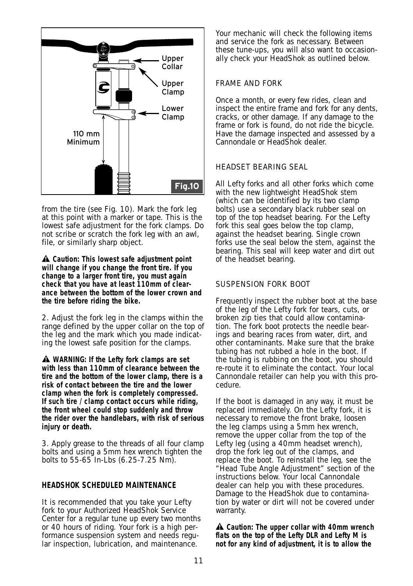

from the tire (see Fig. 10). Mark the fork leg at this point with a marker or tape. This is the lowest safe adjustment for the fork clamps. Do not scribe or scratch the fork leg with an awl, file, or similarly sharp object.

**Caution: This lowest safe adjustment point will change if you change the front tire. If you change to a larger front tire, you must again check that you have at least 110mm of clearance between the bottom of the lower crown and the tire before riding the bike.**

2. Adjust the fork leg in the clamps within the range defined by the upper collar on the top of the leg and the mark which you made indicating the lowest safe position for the clamps.

**WARNING: If the Lefty fork clamps are set with less than 110mm of clearance between the tire and the bottom of the lower clamp, there is a risk of contact between the tire and the lower clamp when the fork is completely compressed. If such tire / clamp contact occurs while riding, the front wheel could stop suddenly and throw the rider over the handlebars, with risk of serious injury or death.**

3. Apply grease to the threads of all four clamp bolts and using a 5mm hex wrench tighten the bolts to 55-65 In-Lbs (6.25-7.25 Nm).

#### **HEADSHOK SCHEDULED MAINTENANCE**

It is recommended that you take your Lefty fork to your Authorized HeadShok Service Center for a regular tune up every two months or 40 hours of riding. Your fork is a high performance suspension system and needs regular inspection, lubrication, and maintenance.

Your mechanic will check the following items and service the fork as necessary. Between these tune-ups, you will also want to occasionally check your HeadShok as outlined below.

## FRAME AND FORK

Once a month, or every few rides, clean and inspect the entire frame and fork for any dents, cracks, or other damage. If any damage to the frame or fork is found, do not ride the bicycle. Have the damage inspected and assessed by a Cannondale or HeadShok dealer.

## HEADSET BEARING SEAL

All Lefty forks and all other forks which come with the new lightweight HeadShok stem (which can be identified by its two clamp bolts) use a secondary black rubber seal on top of the top headset bearing. For the Lefty fork this seal goes below the top clamp. against the headset bearing. Single crown forks use the seal below the stem, against the bearing. This seal will keep water and dirt out of the headset bearing.

## SUSPENSION FORK BOOT

Frequently inspect the rubber boot at the base of the leg of the Lefty fork for tears, cuts, or broken zip ties that could allow contamination. The fork boot protects the needle bearings and bearing races from water, dirt, and other contaminants. Make sure that the brake tubing has not rubbed a hole in the boot. If the tubing is rubbing on the boot, you should re-route it to eliminate the contact. Your local Cannondale retailer can help you with this procedure.

If the boot is damaged in any way, it must be replaced immediately. On the Lefty fork, it is necessary to remove the front brake, loosen the leg clamps using a 5mm hex wrench, remove the upper collar from the top of the Lefty leg (using a 40mm headset wrench), drop the fork leg out of the clamps, and replace the boot. To reinstall the leg, see the "Head Tube Angle Adjustment" section of the instructions below. Your local Cannondale dealer can help you with these procedures. Damage to the HeadShok due to contamination by water or dirt will not be covered under warranty.

**Caution: The upper collar with 40mm wrench flats on the top of the Lefty DLR and Lefty M is not for any kind of adjustment, it is to allow the**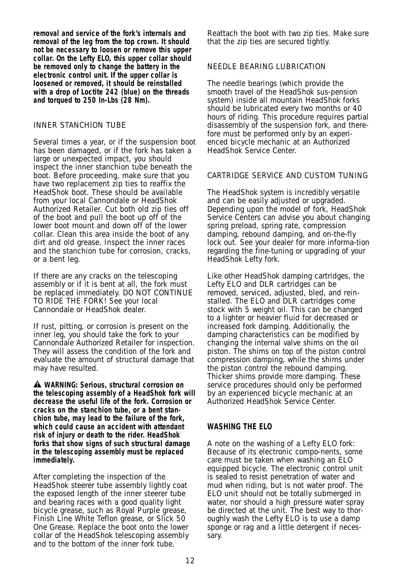**removal and service of the fork's internals and removal of the leg from the top crown. It should not be necessary to loosen or remove this upper collar. On the Lefty ELO, this upper collar should be removed only to change the battery in the electronic control unit. If the upper collar is loosened or removed, it should be reinstalled with a drop of Loctite 242 (blue) on the threads and torqued to 250 In-Lbs (28 Nm).**

#### INNER STANCHION TUBE

Several times a year, or if the suspension boot has been damaged, or if the fork has taken a large or unexpected impact, you should inspect the inner stanchion tube beneath the boot. Before proceeding, make sure that you have two replacement zip ties to reaffix the HeadShok boot. These should be available from your local Cannondale or HeadShok Authorized Retailer. Cut both old zip ties off of the boot and pull the boot up off of the lower boot mount and down off of the lower collar. Clean this area inside the boot of any dirt and old grease. Inspect the inner races and the stanchion tube for corrosion, cracks, or a bent leg.

If there are any cracks on the telescoping assembly or if it is bent at all, the fork must be replaced immediately. DO NOT CONTINUE TO RIDE THE FORK! See your local Cannondale or HeadShok dealer.

If rust, pitting, or corrosion is present on the inner leg, you should take the fork to your Cannondale Authorized Retailer for inspection. They will assess the condition of the fork and evaluate the amount of structural damage that may have resulted.

**WARNING: Serious, structural corrosion on the telescoping assembly of a HeadShok fork will decrease the useful life of the fork. Corrosion or cracks on the stanchion tube, or a bent stanchion tube, may lead to the failure of the fork, which could cause an accident with attendant risk of injury or death to the rider. HeadShok forks that show signs of such structural damage in the telescoping assembly must be replaced immediately.**

After completing the inspection of the HeadShok steerer tube assembly lightly coat the exposed length of the inner steerer tube and bearing races with a good quality light bicycle grease, such as Royal Purple grease, Finish Line White Teflon grease, or Slick 50 One Grease. Replace the boot onto the lower collar of the HeadShok telescoping assembly and to the bottom of the inner fork tube.

Reattach the boot with two zip ties. Make sure that the zip ties are secured tightly.

## NEEDLE BEARING LUBRICATION

The needle bearings (which provide the smooth travel of the HeadShok sus-pension system) inside all mountain HeadShok forks should be lubricated every two months or 40 hours of riding. This procedure requires partial disassembly of the suspension fork, and therefore must be performed only by an experienced bicycle mechanic at an Authorized HeadShok Service Center.

# CARTRIDGE SERVICE AND CUSTOM TUNING

The HeadShok system is incredibly versatile and can be easily adjusted or upgraded. Depending upon the model of fork, HeadShok Service Centers can advise you about changing spring preload, spring rate, compression damping, rebound damping, and on-the-fly lock out. See your dealer for more informa-tion regarding the fine-tuning or upgrading of your HeadShok Lefty fork.

Like other HeadShok damping cartridges, the Lefty ELO and DLR cartridges can be removed, serviced, adjusted, bled, and reinstalled. The ELO and DLR cartridges come stock with 5 weight oil. This can be changed to a lighter or heavier fluid for decreased or increased fork damping. Additionally, the damping characteristics can be modified by changing the internal valve shims on the oil piston. The shims on top of the piston control compression damping, while the shims under the piston control the rebound damping. Thicker shims provide more damping. These service procedures should only be performed by an experienced bicycle mechanic at an Authorized HeadShok Service Center.

## **WASHING THE ELO**

A note on the washing of a Lefty ELO fork: Because of its electronic compo-nents, some care must be taken when washing an ELO equipped bicycle. The electronic control unit is sealed to resist penetration of water and mud when riding, but is not water proof. The ELO unit should not be totally submerged in water, nor should a high pressure water spray be directed at the unit. The best way to thoroughly wash the Lefty ELO is to use a damp sponge or rag and a little detergent if necessary.